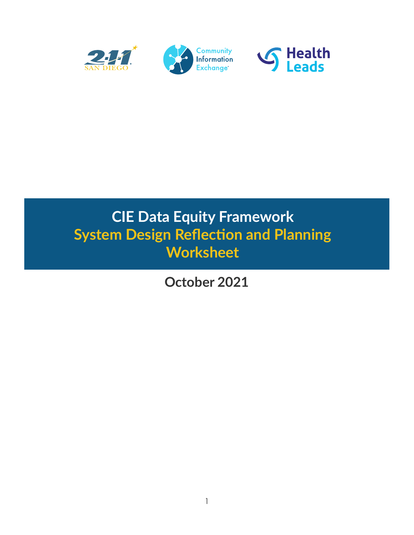

### **CIE Data Equity Framework System Design Reflection and Planning Worksheet**

**October 2021**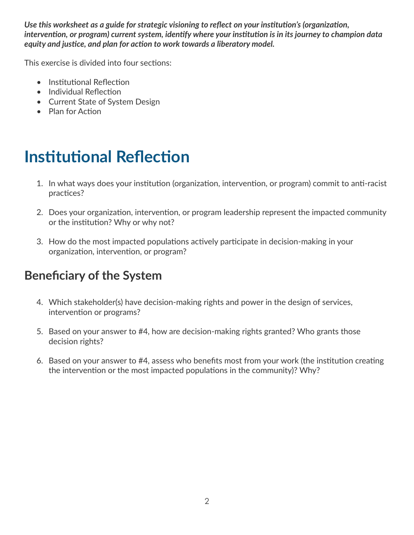*Use this worksheet as a guide for strategic visioning to reflect on your institution's (organization, intervention, or program) current system, identify where your institution is in its journey to champion data equity and justice, and plan for action to work towards a liberatory model.* 

This exercise is divided into four sections:

- Institutional Reflection
- Individual Reflection
- Current State of System Design
- Plan for Action

# **Institutional Reflection**

- 1. In what ways does your institution (organization, intervention, or program) commit to anti-racist practices?
- 2. Does your organization, intervention, or program leadership represent the impacted community or the institution? Why or why not?
- 3. How do the most impacted populations actively participate in decision-making in your organization, intervention, or program?

#### **Beneficiary of the System**

- 4. Which stakeholder(s) have decision-making rights and power in the design of services, intervention or programs?
- 5. Based on your answer to #4, how are decision-making rights granted? Who grants those decision rights?
- 6. Based on your answer to #4, assess who benefits most from your work (the institution creating the intervention or the most impacted populations in the community)? Why?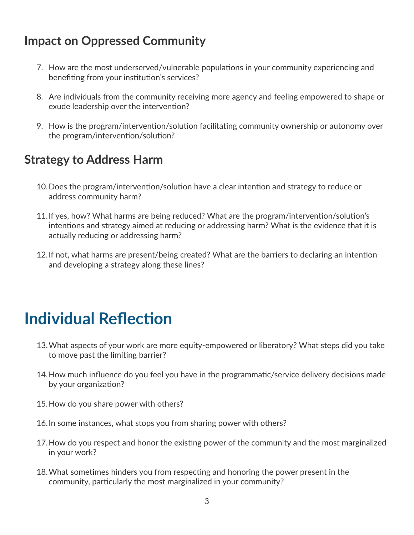#### **Impact on Oppressed Community**

- 7. How are the most underserved/vulnerable populations in your community experiencing and benefiting from your institution's services?
- 8. Are individuals from the community receiving more agency and feeling empowered to shape or exude leadership over the intervention?
- 9. How is the program/intervention/solution facilitating community ownership or autonomy over the program/intervention/solution?

#### **Strategy to Address Harm**

- 10.Does the program/intervention/solution have a clear intention and strategy to reduce or address community harm?
- 11.If yes, how? What harms are being reduced? What are the program/intervention/solution's intentions and strategy aimed at reducing or addressing harm? What is the evidence that it is actually reducing or addressing harm?
- 12.If not, what harms are present/being created? What are the barriers to declaring an intention and developing a strategy along these lines?

## **Individual Reflection**

- 13.What aspects of your work are more equity-empowered or liberatory? What steps did you take to move past the limiting barrier?
- 14.How much influence do you feel you have in the programmatic/service delivery decisions made by your organization?
- 15.How do you share power with others?
- 16.In some instances, what stops you from sharing power with others?
- 17.How do you respect and honor the existing power of the community and the most marginalized in your work?
- 18.What sometimes hinders you from respecting and honoring the power present in the community, particularly the most marginalized in your community?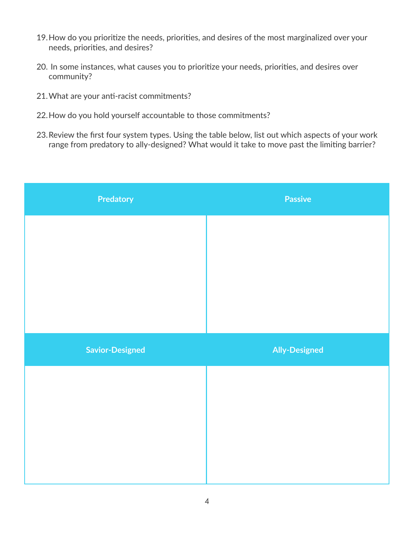- 19.How do you prioritize the needs, priorities, and desires of the most marginalized over your needs, priorities, and desires?
- 20. In some instances, what causes you to prioritize your needs, priorities, and desires over community?
- 21.What are your anti-racist commitments?
- 22.How do you hold yourself accountable to those commitments?
- 23.Review the first four system types. Using the table below, list out which aspects of your work range from predatory to ally-designed? What would it take to move past the limiting barrier?

| Predatory              | <b>Passive</b>       |
|------------------------|----------------------|
|                        |                      |
|                        |                      |
|                        |                      |
|                        |                      |
|                        |                      |
| <b>Savior-Designed</b> | <b>Ally-Designed</b> |
|                        |                      |
|                        |                      |
|                        |                      |